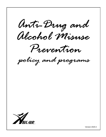Anti-Dring and Alcohol Misuse

Prevention

policy and programs



Version 2020-2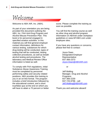# Welcome

Welcome to ABX AIR, Inc. (ABX).

As part of your orientation you are being provided this document outlining the ABX, Inc. FAA Anti-Drug Program and Alcohol Misuse Prevention Plan. This book is for personnel engaged in specified aviation activities. In this material you will find general employer contact information, definitions for various testing, substances for which drug testing will be conducted, types of testing that will be conducted, testing collection procedures, as well as breath alcohol testing and procedures. The laboratory and Medical Review Office information is listed as well.

To comply with FAA regulations, initial Substance Abuse Awareness Training must be completed by personnel performing safety and security related positions. ABX provides this training to you in an on-line format. The program includes a brief introduction followed by the educational content, and a short true/false quiz at the end on which you will have to attain a 70 percent or better score. Please complete the training as soon as possible.

You will find the training course as well as other drug and alcohol program information on ABXnet under workplace guidelines or www.MYABX.com under employee sites.

If you have any questions or concerns, please feel free to contact:

> Joyce Dean Designated Employer Representative 937-366-2373 [Joyce.Dean@ABXAIR.com](mailto:Joyce.Dean@ABXAIR.com)

> > or

Jeff Walling Manager, Drug and Alcohol Programs 937-366-2230 937-725-9796 - cell [Jeff.Walling@ABXAIR.com](mailto:Jeff.Walling@ABXAIR.com)

Thank you and welcome aboard!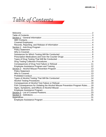# Table of Contents

| FAA Consequences for Violating the Alcohol Misuse Prevention Program Rules 19 |  |
|-------------------------------------------------------------------------------|--|
|                                                                               |  |
|                                                                               |  |
|                                                                               |  |
|                                                                               |  |
|                                                                               |  |
|                                                                               |  |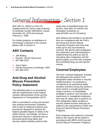General Information - Section 1

ABX AIR Inc. (ABX) is a Part 121 Supplemental Air Carrier under authority of certificate number ABXA001A, issued November 28, 1979 and reissued February 2, 1989.

For further guidance on definitions of terminology contained in this manual, please refer to Section 5.

### **ABX Contacts**

- ▶ Jeff Walling
- **Director, Human Resources**
- ▶ 937-366-2230
- **Joyce Dean**
- ▶ Human Resources Coordinator, DER
- $\blacktriangleright$  937-366-2373

### **Anti-Drug and Alcohol Misuse Prevention Policy Statement**

*The following policy is in accordance with the requirements of the Federal Aviation Administration (FAA) and the Department of Transportation (DOT).*

ABX is committed to a drug and alcoholfree working environment consistent with its duty to implement policies and procedures designed to achieve the highest possible degree of safety in the public interest. Accordingly, we have a paramount interest in assuring that our personnel performing safety and security related activities perform their

duties free of prohibited drugs and alcohol. (See ABX Air Policies and Workplace Guidelines on www.MYABX.com for full policy)

ABX believes the benefits to be derived from our compliance with the FAA's Anti-Drug and Alcohol Misuse Prevention Programs will more than make up for any inconvenience involved. We ask for each employee's full cooperation and understanding in implementing this policy as well as educating other employees and the general public as to the risks resultant from prohibited drug use and alcohol misuse.

### **Covered Employees**

The term "covered employee" includes all employees who perform FAA designated safety sensitive or security related functions. An employee is considered to be performing safety sensitive functions during any period in which he/she is actually performing, ready to perform, or immediately available to perform such functions. All supervisory or managerial employees who may be called upon to perform an FAA designated safety sensitive or security related function shall also be subject to the requirements of ABX Anti-Drug and Alcohol Misuse Prevention Programs.

Each employee who performs a function listed in this section will be tested in accordance with ABX's Anti-Drug and Alcohol Misuse Prevention Programs: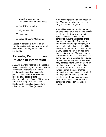| $\Box$ Aircraft Maintenance or<br>Preventive Maintenance duties |
|-----------------------------------------------------------------|
|                                                                 |

 $\Box$  Flight Crew Member

- $\Box$  Flight Instruction
- $\Box$  Dispatcher
- $\Box$  Ground Security Coordinator

Section 4 contains a current list of specific job titles of employees who will be subject to testing under these programs.

### **Records, Reporting, and Release of Information**

ABX will maintain records of all negative tests in its Anti-Drug and Alcohol Misuse Prevention Programs in a secure location with controlled access for a period of two years. ABX will maintain records of all positive tests, documentation or refusals, SAP reports and all follow-up tests in a secure location with controlled access for a minimum period of five (5) years.

ABX will complete an annual report to the FAA summarizing the results of its drug and alcohol programs.

ABX will release information regarding an employee's drug and alcohol testing results to a third party only with the specific, written consent of the employee authorizing release of the information to an identified person. Information regarding an employee's drug or alcohol testing results will be released to the National Transportation Safety Board as part of an accident investigation, to the FAA whenever a violation or refusal to submit occurs, and to the Federal Air Surgeon as required, or as otherwise required by law. ABX may disclose information regarding an employee's drug or alcohol testing results to the decision maker in a lawsuit, formal dispute, or other proceeding initiated by or on behalf of the employee and arising from the results of the drug or alcohol test, or from ABX's determination that the employee engaged in prohibited conduct.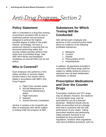

### **Policy Statement**

ABX is committed to a drug-free working environment consistent with its duty to implement policies and procedures designed to achieve the highest possible degree of safety in the public interest. Accordingly, we have a paramount interest in assuring that our personnel performing safety and security related activities perform their duties free of prohibited drugs. (See ABX AIR Policies and Workplace Guidelines on www.MYABX.com for full policy)

### **Who is Covered?**

Each employee who performs a FAA safety sensitive or security related function listed in this section will be tested in accordance with ABX's Anti-Drug Program:

- a. Flight Crew member duties
- b. Aircraft Maintenance or Preventive Maintenance duties,
- c. Flight Instruction
- d. Dispatch
- e. Ground Security Coordinator

Section 4 contains a list of specific job titles of employees who will be subject to testing under this program at ABX.

### **Substances for Which Testing Will Be Conducted**

ABX will test each employee who performs a FAA covered function listed above for evidence of the following prohibited substances:

- a. Marijuana
- b. Cocaine
- c. Opioids
- d. Phencyclidine (PCP)
- e. Amphetamines

In addition, all specimens provided in connection with these drugs shall be subject to validity testing to ensure a specimen has not been adulterated, substituted, or diluted.

### **Prescription Medications and Over the Counter Drugs**

Prescription medicine and OTC drugs may be allowed. However, the medicine if a prescription drug, must be prescribed for you by a licensed physician. Medicine should only be taken as prescribed and at a dosage level that is consistent with the safe performance of your duties. Taking prescribed medicine and performing safety-sensitive functions is not prohibited by drug and alcohol regulations, however other regulations may have prohibitive provisions, such as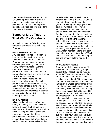medical certifications. Therefore, if you are using a prescription or over-thecounter medication, consult your physician and your industry-specific regulations before deciding to perform safety-sensitive tasks.

### **Types of Drug Testing That Will Be Conducted**

ABX will conduct the following tests under the provisions of its Anti-Drug Program:

#### **PRE-EMPLOYMENT TESTING**

Any applicant selected for a position listed in Section 4 will be tested in accordance with the ABX Anti-Drug Program and must pass the required drug test prior to being hired into a safety sensitive function. Current employees in non-covered positions/functions also must pass a pre-employment drug test prior to being transferred to a covered position/function. At the time of application, all applicants for such positions will be advised both verbally and in writing that pre-employment testing will be conducted to determine the presence of a prohibited substance or metabolite of a prohibited substance in the applicant's system.

#### **RANDOM TESTING**

All covered employees performing safety or security sensitive functions listed in Section 4 will be subject to unannounced drug testing on a random basis for the presence of prohibited substances, or a metabolite of prohibited substances in the employee's system. Employees are entered into a random pool and are equally eligible to

be selected for testing each time a random selection is drawn. ABX uses a computer based random number generator utilizing the employee social security numbers of all covered employees. Random selection for testing will be conducted no less than four times a year. It is the responsibility of the Director of Human Resources, or designee, to obtain the randomly selected list of covered employees to be tested. Employees will not be given advance notice of their random selection for testing. Employees will be notified via a written notification form and sent immediately to the testing site. ABX will achieve at minimum, random testing at the rate annually determined by the FAA.

#### **POST-ACCIDENT TESTING**

Refer to the definition of "accident" in section 5 before determining if a postaccident DOT test should be required. A non-DOT test may be required if the definition of accident per the DOT regulations is not met. ABX employees who perform covered functions identified in Section 4, whose performance either contributed to an accident or cannot be completely discounted as a contributing factor to an accident shall be tested for the presence of a prohibited substance or a metabolite of a prohibited substance in the employee's system. The employee shall be tested as soon as possible, but not later than 32 hours after the accident. An employee who is subject to post-accident testing should remain readily available for such testing or will be deemed to have refused to submit to testing, unless the employee requires necessary medical attention or needs to leave the scene of the accident to obtain assistance in responding to the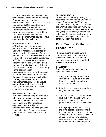accident. A decision not to administer a test under this section of the Anti-Drug Program must be based on a determination by the ABX Drug Program Manager or its Designated Employer Representative (DER) and the appropriate operations management using the best information available at the time of the accident, that the employee's performance could not have contributed to the accident.

#### **REASONABLE CAUSE TESTING**

ABX will test each employee who performs a function listed in Section 4 and who is reasonably suspected of using a prohibited substance, for the presence of such a prohibited substance or a metabolite of prohibited substance. ABX' decision to test an employee under this section shall be based on a reasonable and articulative belief that the employee is using a prohibited drug on the basis of specific, contemporaneous physical, behavioral or performance indicators of probable drug use. This determination shall be

made by at least two members of management (supervisors or above) one of whom shall have received training in the detection of possible symptoms of drug use.

#### **RETURN TO DUTY TESTING**

If you have violated the prohibited drug rules, you are required to take a drug test before returning to safety-sensitive functions for any DOT regulated employer. You are subject to unannounced follow-up testing at least 6 times in the first 12 months following your return to active safety-sensitive service.

#### **FOLLOW-UP TESTING**

The amount of follow-up testing you receive is determined by a Substance Abuse Professional (SAP) and may continue for up to 5 years. This means the SAP will determine how many times you will be tested (at least 6 times in the first year), for how long, and for what substance (i.e. drugs, alcohol, or both). Follow-up testing is in addition to all other DOT required testing.

### **Drug Testing Collection Procedures**

The drug testing process always consists of three components, the collection, testing at an approved laboratory, and review by a Medical Review Officer (MRO).

#### **COLLECTION**

During the collection process, a urine specimen collector will:

- 1. Verify your identity using a current valid photo ID, such as a driver's license, passport, or employer issued picture ID, etc.
- 2. Restrict access to the testing site to only those being tested.
- 3. Secure all water sources and place blue dye in any standing water, remove or secure all cleaning products/fluids at the collection site.
- 4. Afford you privacy when providing the urine specimen (exceptions to this rule generally surround issues of attempted adulteration or substitution of a specimen, or any situation where general questions of validity arise, like an unusual temperature).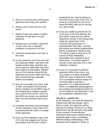- 5. Ask you to remove any unnecessary garments and empty your pockets.
- 6. Instruct you to wash and dry your hands.
- 7. Select or have you select a sealed collection kit and open it in your presence.
- 8. Request you to provide a specimen of your urine into a collection container (a minimum of 45 ml).
- 9. Check the temperature and color of the urine.
- 10.In your presence, pour the urine into two separate bottles, seal them with tamper-evident tape, and then ask you to sign the seals after they have been placed on the bottles. (Neither you nor the collector should let the specimen out of your sight until it has been poured into two separate bottles and sealed).
- 11.Ask you to provide your name, date of birth, and daytime and evening phone numbers on the MRO Copy of the Federal Drug Testing Custody and Control Form (CCF). This is so the MRO can contact you directly if there are any questions about your test.
- 12.Complete necessary documentation on the Laboratory Copy of the CCF to demonstrate the chain of custody of the specimen.
- 13.Give you the Employee Copy of the CCF and may suggest you list any prescription and over-the-counter

medications you may be taking on the back of your copy of the CCF, to serve as a reminder for you in the event the MRO calls you to discuss your test results.

- 14.If you are unable to provide the 45 ml of urine on the first attempt, the time will be noted and you will be required to remain in the testing area under the supervision of the collection site personnel or a representative from ABX. Leaving the testing area without authorization will be considered a refusal to test. You will be urged to drink up to 40 ounces of fluid, distributed reasonably over a period of up to three hours. You will be asked to provide a new specimen into a new collection container.
- 15.If you do not provide a sufficient specimen within three hours, you must obtain a medical evaluation within five days to determine if there is an acceptable medical reason for not being able to provide a specimen. If it is determined that there is no legitimate physiological or pre-existing psychological reason for not providing a urine specimen, it will be considered a refusal to test.

#### **TESTING AT LABORATORY**

At the laboratory, the staff will determine if flaws exist with the sample, and if there is a flaw, the specimen will be rejected for testing. If there are no flaws determined, the lab will open only bottle A and conduct a screening test. Specimens that screen positive will be analyzed again using a completely different testing methodology. If the specimen tests negative in either of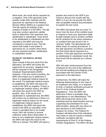these tests, the result will be reported as a negative. Only if the specimen tests positive under both methods will the specimen be reported to the Medical Review Officer (MRO) as a positive test. The lab reports its findings of the analysis of bottle A to the MRO. The lab may also conduct specimen validity tests to determine if the specimen was adulterated or substituted. Tests found to be adulterated or substituted are also reported to the MRO and may be considered a refusal to test. The lab stores both bottle A and bottle B specimens for 12 months when there are any reported positive, adulterated, or substituted results.

#### **REVIEW BY THE MEDICAL REVIEW OFFICER**

Upon receipt of the test result from the laboratory, the MRO will review the paperwork for accuracy. Negative tests will be reported to the Designated Employer Representative (DER). However, if the test result is positive, the MRO will contact you to determine if there is a legitimate medical reason for the result. If a legitimate medical reason is established, the MRO will report the result to the DER as negative. If there is no legitimate medical reason, the MRO will report the result to the DER as positive. Also, if the result is an adulterated or substituted test, the MRO will contact you to determine if there is a legitimate medical reason for the result. If a legitimate medical reason is established, the MRO will report the result to the DER as cancelled. If the result is cancelled due to an invalid result, ABX will conduct a second collection under direct observation. If there is not a legitimate medical reason, the MRO will report the result to the DER as a refusal. The MRO will report a

positive test result to the DER if you refuse to discuss the results with the MRO or if you do not provide the MRO with acceptable medical documentation to explain the test result.

The MRO will advise that you have 72 hours from the time of the verified result to request to have your specimen bottle B (split sample) sent to another certified lab for analysis for the same substance or condition that was found in the A "primary" bottle. The laboratories will follow chain of custody procedures. If the split specimen reconfirms a positive, the final result will be reported as a positive. If the split specimen reconfirms an adulterated or substituted result, the final result will be reported as a refusal to test.

ABX will seek reimbursement from the employee for the cost of the additional test and all handling and shipping costs associated with the transfer of the specimen to the laboratory.

Furthermore, the MRO will make the following determinations in the case of an employee who holds, or is required to hold, a medical certificate pursuant to Part 67 of the Federal Aviation Regulations. First, the MRO will determine if there is probable drug dependence or non-dependence. The MRO will forward the name of the individual and the determination and any supporting documentation for such determination, along with any return-toduty decisions to the Federal Air Surgeon for review. The Federal Air Surgeon will determine if the individual may retain or may be issued a medical certificate consistent with the requirements of Part 67 of the Federal Aviation Regulations. The MRO will also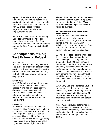report to the Federal Air surgeon the name of any person who applies for a position that requires the person to hold a medical certificate issued pursuant to Part 67 of the Federal Aviation Regulations and who fails a preemployment drug test.

ABX AIR Inc. uses LabCorp for testing and First Advantage provides our medical review services. Dr. Stuart Hoffman is the MRO. The donor contact number for First Advantage is 800-809- 1012.

### **Consequences of Drug Test Failure or Refusal**

#### **APPLICANTS**

Any ABX applicant, including a current employee, for a "covered position" listed on Section 4, who has a verified positive drug test or refuses to submit to a drug test will not be considered further for employment.

#### **EMPLOYEES**

Any ABX employee who performs in or applies for a "covered position" listed on Section 4 and has a verified positive drug test, or who has a verified adulterated or substituted test or has otherwise refused to submit to a required test, will be terminated from employment.

#### **EMPLOYERS**

Employers are required to notify the Federal Aviation Administration within 5 working days of any instance in which a 14 CFR part 61, part 63, or part 65 airman certificate holder refused to submit to a required drug test (generally this applies to individuals who perform flight crewmember, flight instruction,

aircraft dispatcher, aircraft maintenance, or air traffic control duties). Employers are not required to notify the FAA of refusals to submit to pre-employment or return-to-duty tests.

#### **FAA PERMANENT DISQUALIFICATION FROM SERVICE**

There are two circumstances under which employees who engage in prohibited use of drugs are absolutely barred by the Federal Aviation Administration from performance of the same duties performed before the determination of such prohibited use.

1. Two (2) Verified Positive Drug Tests – If an employee is determined to have two verified positive drug tests after September 19, 1994, then he/she is permanently precluded from performing the safety-sensitive function he/she performed before the second drug test. The bar on two-time violators applies to both persons who have gone through rehabilitation and to those who, after evaluation, were determined not to need treatment.

2. On Duty Use of a Prohibited Drug – If an employee is determined to have used a drug while performing a safetysensitive function after September 19, 1994 then he/she is permanently precluded from performing that safetysensitive function.

Note: ABX employees determined to have one verified positive drug test result will be immediately removed from performing the safety-sensitive function and termination of employment will occur.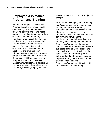### **Employee Assistance Program and Training**

ABX has an Employee Assistance Program available for employees to confidentially receive information regarding benefits and rehabilitation programs regarding treatment for drug or alcohol use. ABX encourages employees who believe they have an alcohol or drug problem to seek help. The medical insurance program provides for payment of certain expenses related to treatment for alcoholism and drug addiction. Information concerning the insurance program may be obtained from Human Resources. ABX Employee Assistance Program will provide confidential assessment with referral to appropriate treatment services. Regardless of any treatment, however, employees who

violate company policy will be subject to discipline.

Furthermore, all employees performing in a "covered position" will be provided training and materials regarding substance abuse, which will cover the effects and consequences of drug use on personal health, safety, and the work environment, as well as the manifestations and behavioral causes that may indicate drug use and abuse. Supervisory/Management personnel who will determine when an employee is subject to testing based on reasonable cause will also receive training on the specific, contemporaneous physical, behavioral and performance indicators of probable drug use in addition to the training specified above. Supervisory/management training will also be conducted recurrently.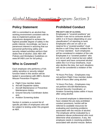## **Alcohol Misuse Prevention Program- Section 3**

### **Policy Statement**

ABX is committed to an alcohol-free working environment consistent with its duty to implement policies and procedures designed to achieve the highest possible degree of safety in the public interest. Accordingly, we have a paramount interest in assuring that our personnel performing safety and security related activities perform their duties free of alcohol. (See ABX AIR Policies and Workplace Guidelines on www.MYABX.com for full policy)

### **Who is Covered?**

Each employee who performs a FAA safety sensitive or security related function listed in this section will be tested in accordance with ABX's Alcohol Misuse Prevention Program:

- a. Flight Crew member duties
- b. Aircraft Dispatcher duties
- c. Aircraft Maintenance or Preventive Maintenance duties,
- d. Ground Security Coordinator duties and,
- e. Aviation Screening duties

Section 4 contains a current list of specific job titles of employees who will be subject to testing under this program at ABX.

### **Prohibited Conduct**

#### **PRE-DUTY USE OF ALCOHOL**

Employees in "covered positions" per Section 4 are not to consume alcohol within 4 or 8 hours (depending on your classification\*) of reporting to work. Employees who are on call or on reserve for a "covered position" must decline a call if they have violated the 4 or 8-hour standard. Such employees will be considered in violation of the rule. Employees in a "covered position" who are not on call or reserve but are called in to report and have consumed alcohol within the 4 or 8 hour timeframe, must also decline the duty, but such situations will not be considered a violation of the rule.

\*8 Hours Pre-Duty – Employees may not perform Flight Crew member duties within 8 hours after using alcohol.

\*4 Hours Pre-Duty – Employees may not perform *Aircraft Maintenance, Ground Security Coordinator, or Aviation Screening* duties within 4 hours after using alcohol.

If a covered employee is determined to have violated the pre-duty prohibited conduct provisions, he/she will be referred to available resources for evaluating and resolving problems associated with the misuse of alcohol. The employee will be evaluated by a substance abuse professional who must determine what assistance, if any, the employee needs in resolving problems associated with alcohol misuse. Before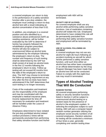a covered employee can return to duty in the performance of a safety-sensitive function after a pre-duty violation, the employee must undergo a return-to-duty alcohol test with a result indicating an alcohol concentration of less than 0.02.

In addition, any employee in a covered position and who identified by a substance abuse professional (SAP) as needing assistance, will be further evaluated by the SAP to determine if he/she has properly followed the rehabilitation program prescribed. He/she will also be subject to unannounced follow-up alcohol tests administered by the employer following the employee's return-to-duty. The number and frequency of such testing shall be determined by the SAP but shall consist of at least six alcohol tests in the first 12 months following the employee's return-to-duty. Follow-up testing will not exceed 60 months from the date of the employee's return-toduty. The SAP may choose to terminate the follow-up testing requirement at any time after the first six tests have been administered if the SAP determines that such testing is no longer necessary.

Costs of the evaluation and treatment are the responsibility of the employee and may be coordinated with the employee's medical insurance plans. Income replacement for time off necessary for evaluation and treatment will be handled under the Leave of Absence Policy.

Employees determined to have violated the pre-duty prohibited alcohol related conduct provisions 2 times will be permanently precluded from performing that safety sensitive function and his/her employment with ABX will be terminated.

#### **ON DUTY USE OF ALCOHOL**

No covered employee shall use any alcohol while performing safety sensitive functions. Use of medication containing alcohol *will* violate this rule. Employees determined to have violated this rule will be permanently precluded from performing that safety sensitive function and employment will be terminated by ABX.

#### **USE OF ALCOHOL FOLLOWING AN ACCIDENT**

A covered employee may not use any alcohol for eight (8) hours following an accident involving an aircraft for which he/she performed a safety sensitive function, until such time either an alcohol test has either been completed or an official determination by the Drug Program Manager has been made that an alcohol test will not be conducted. Failure to comply with this eight-hour rule may result in termination.

### **Types of Alcohol Testing That Will Be Conducted**

#### **RANDOM TESTING**

All covered employees performing safety or security sensitive functions listed in Section 4 will be subject to unannounced alcohol testing on a random basis for the presence of alcohol in the employee's system. In selecting the employees subject to such testing, ABX will use a computer based random number generator utilizing the employee social security numbers of all covered employees. Random selection for testing will be conducted a minimum of four times a year, generally completing one random testing draw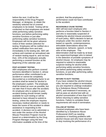before the next. It will be the responsibility of the Drug Program Manager, or designee, to obtain the randomly selected list of covered employees to be tested. Testing will be conducted so that employees are tested while performing safety sensitive functions, just before performing safety sensitive functions or just after performing safety sensitive functions. Employees will not be given advance notice of their random selection for testing. Employees will be notified via a written notification form and sent immediately to the testing site. ABX will achieve and maintain an annualized rate of random testing equal to, and not less than, 10% of the employees actually performing a covered function at the beginning of the calendar year.

#### **POST-ACCIDENT TESTING**

ABX employees who perform covered functions identified in Section 4, whose performance either contributed to an accident or cannot be completely discounted as a contributing factor to an accident shall be tested for alcohol in the employee's system. The employee shall be tested as soon as possible, but not later than 8 hours after the accident. An employee who is subject to postaccident testing should remain readily available for such testing or will be deemed to have refused to submit to testing, unless the employee requires necessary medical attention or needs to leave the scene of the accident to obtain assistance in responding to the accident. A decision not to administer a test under this section of the Alcohol Misuse Prevention Program must be based on a determination by the Drug Program Manager using the best information available at the time of the

accident, that the employee's performance could not have contributed to the accident.

#### **REASONABLE CAUSE TESTING**

ABX will test each employee who performs a function listed in Section 4 and who is reasonably suspected of violating the alcohol misuse provisions of such policy. ABX's decision to test an employee under this section shall be based on specific, contemporaneous, articulable observations about the appearance, behavior, speech, or body odor of the employee. This determination shall be made by at least one supervisor/manager who is trained in the detection of possible symptoms of alcohol misuse. An employee may be required to submit to reasonable suspicion testing for alcohol while performing safety-sensitive functions, just before performing safety-sensitive functions, or just after performing safetysensitive functions.

#### **RETURN TO DUTY TESTING**

If you have violated the alcohol misuse rules, but are not subject to termination, you are required to undergo evaluation by a Substance Abuse Professional (SAP), and treatment if necessary, as well as pass an alcohol test with an alcohol concentration of less than 0.02 before returning to safety-sensitive functions. Failure to complete these requirements will result in termination.

#### **FOLLOW-UP TESTING**

Covered employees who have been identified by a Substance Abuse Professional (SAP) as needing assistance in resolving problems with alcohol misuse and who have returned to duty involving the performance of a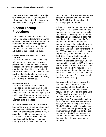safety-sensitive function shall be subject to a minimum of six (6) unannounced, follow-up alcohol tests administered by ABX over the following 12 months.

### **Alcohol Testing Procedures**

This section will cover the procedures that will be used to test for the presence of alcohol, protect the employee and the integrity of the breath testing process, safeguard the validity of the test results, and ensure that those results are attributed to the correct employee.

#### **PREPARATION FOR BREATH ALCOHOL TESTING**

The Breath Alcohol Technician (BAT) will require an employee to provide positive identification (driver's license, passport, employer identification) upon entering the alcohol testing location. If requested, the BAT should also provide positive identification to the employee. The BAT should also explain the testing procedure to the employee.

#### **SCREENING TESTS**

The Breath Alcohol Technician will complete Step 1 on the breath alcohol testing form and the employee will then complete Step 2 on the form, signing the certification. Refusal by the employee to sign the certification will be regarded as a refusal to take the test.

An individually sealed mouthpiece will be opened in view of the employee and BAT and then will be attached to the evidential breath testing device (EBT) in accordance with the manufacturer's instructions. The BAT will instruct the employee to blow forcefully into the mouthpiece for at least 6 seconds or

until the EBT indicates that an adequate amount of breath has been obtained. The BAT will show the employee the result displayed on the EBT.

If the EBT prints the test results onto the form, the BAT will check to ensure the information has been printed correctly onto the alcohol testing form. If the EBT provides a printed result, but does not print the results directly onto the form, the BAT will then affix the test result printout to the alcohol testing form with tamper-evident tape or using a selfadhesive label that is tamper evident. If the EBT does not have a printer capable of generating a printed result, or the BAT does not print the test number, name of the testing device, serial number of the testing device, date, time, and quantified result, the BAT will record this information in Step 3 of the alcohol testing form. The BAT will also record the test number, date of the test, name of the BAT, location and quantified test result in a log book. The employee will initial the logbook entry.

In any case in which the result of the screening test is a breath alcohol concentration of less than 0.02, the employee will have a negative test result. The BAT will sign and date Step 3 of the alcohol testing form. The employee will not be required to complete Step 4 of the alcohol testing form. If an employee has a negative test result, no further testing is authorized. The BAT will transmit the result of less than 0.02 to the Designated Employer Representative (DER) in a confidential manner and the DER will receive and store the information so as to ensure that confidentiality is maintained as required.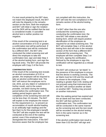If a test result printed by the EBT does not match the displayed result, the BAT will note the disparity in the remarks section on the form. Both the employee and BAT will initial or sign the notation and the DER will be notified that the test is considered invalid. A cancelled alcohol test is neither positive nor negative.

If the result of the screening test is an alcohol concentration of 0.02 or greater, a confirmation test will be performed. If the confirmation test will be conducted by a different BAT, the BAT who conducted the initial screening test will direct the employee to take the confirmation test, sign and date Step 3 of the alcohol testing form, and sign the log book entry. The BAT will provide the employee with Copy 2 of the form.

#### **CONFIRMATION TESTS**

If the result of the screening test reveals an alcohol concentration of 0.02 or greater, the employee will be required to take an alcohol confirmation test. The BAT will instruct the employee not to eat, drink, put any object or substance in his/her mouth, and to the extent possible, not belch during the waiting period before the confirmation test. The waiting period begins upon the completion of the screening test and will not be less than 15 minutes. The BAT will explain to the employee the reason for this requirement (i.e., to prevent an accumulation of mouth alcohol leading to an artificially high reading) and the fact that it is for the employee's benefit. The BAT will also explain the test will be conducted at the end of the waiting period, even if the employee has disregarded the instructions. If the BAT becomes aware that the employee has

not complied with this instruction, the BAT will note the non-compliance in the remarks section of the alcohol testing form.

If a BAT other than the one who conducted the screening test is conducting the confirmation test, the new BAT will initiate a new alcohol testing form, which will require positive identification of the employee as required for an initial screening test. The BAT will complete Step 1 of the alcohol testing form and will note in the remarks section of the form that a different BAT conducted the screening test. The employee will then complete Step 2 on the form, signing the certification. Refusal by the employee to sign this certification will be regarded as a refusal to test.

The BAT will conduct an "air blank" in the presence of the employee to ensure that the device is working correctly. The air blank must be 0.00 and the result will be shown to the employee. If the reading is greater than 0.00, testing will not proceed using that instrument and the BAT will conduct another air blank on another EBT. Testing may proceed on another instrument.

After the waiting period has expired and the air blank test has been conducted, the BAT will then perform the confirmation test. The confirmation test will be conducted in the same manner as the screening test and the test result will be recorded on the alcohol testing form in the same manner as in the screening test.

If the alcohol confirmation test result is lower than 0.02 the BAT will sign and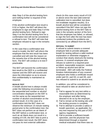date Step 3 of the alcohol testing form and nothing further is required of the employee.

If the alcohol confirmation test result is 0.02 or higher, the BAT will direct the employee to sign and date Step 4 of the alcohol testing form. Refusal to sign Step 4 on the alcohol testing form for a confirmation test will not be considered a refusal to test. The BAT will note that employee refused to sign in the remarks section.

In the case that a confirmation test result is invalid, the BAT will inform the employee that the test result has been cancelled and will note the reason on the remarks line of the alcohol testing form. The BAT will conduct a re-test if practicable.

The BAT will transmit the confirmation test result to the DER in a confidential manner and the DER will receive and store the information so as to ensure that confidentiality is maintained as required.

#### **INVALID TEST**

A breath alcohol test is always invalid under the following circumstances: 1) the sequential test number or alcohol concentration displayed on the EBT is not the same as the sequential test number of alcohol concentration on the printed result; 2) in the case of a confirmation test the BAT does not observe the minimum 15 minute waiting period prior to the confirmation test, the BAT does not perform an air blank of the EBT before a confirmation test, or such an air blank does not result in a reading of 0.00, the BAT fails to print a confirmation test result, the EBT does not pass its next external calibration

check (in this case every result of 0.02 or above since the last valid external calibration test is cancelled, but does not invalidate negative results); 3) a breath alcohol test will be considered cancelled if the BAT does not sign the alcohol testing form or the BAT fails to note in the remarks section of the form that the employee has failed, or refused, to sign the form after the test has been conducted (unless the problems are corrected by an affidavit from the BAT).

#### **REFUSAL TO SUBMIT**

A refusal to submit means a covered employee fails to provide adequate breath for testing without a valid medical explanation or otherwise engages in conduct that clearly obstructs the testing process. A covered employee who refuses to submit to a required postaccident, reasonable suspicion, random or follow-up alcohol test will be terminated. ABX will notify the Federal Aviation Administration of any covered employee who holds a certificate issued under part 61, part 63, or part 65, and has refused to submit to an alcohol test.

In addition, you will be considered to have refused to take an alcohol test if you:

- 1) Fail to appear for any test within a reasonable time as determined by the employer and after being directed to do so by the employer,
- 2) Fail to remain at the testing site until the testing process is complete,
- 3) Fail to attempt to provide a saliva or breath specimen, as applicable, for any test required by this part of DOT agency regulations,
- 4) Fail to provide a sufficient breath specimen, and the physician has determined through a required medical evaluation that there was no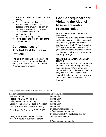adequate medical explanation for the failure,

- 5) Fail to undergo a medical examination or evaluation as directed by the employer as part of the insufficient breath procedures,
- 6) Fail or decline to take the confirmation test,
- 7) Failure to sign Step 2; and
- 8) Fail to cooperate with any part of the testing process.

### **Consequences of Alcohol Test Failure or Refusal**

The table on this page outlines actions that will be taken for specified conduct during the Alcohol Misuse Prevention Program testing process.

### **FAA Consequences for Violating the Alcohol Misuse Prevention Program Rules**

#### **REMOVAL FROM SAFETY-SENSITIVE FUNCTIONS**

Covered employees are prohibited from performing safety-sensitive functions if they have engaged in prohibited conduct under the FAA rule or another DOT agency's alcohol misuse rule (including refusal to submit to random, reasonable suspicion, post-accident, or follow-up testing).

#### **PERMANENT DISQUALIFICATION FROM SERVICE**

A covered employee will be permanently precluded from performing the safetysensitive duties he/she performed before a violation in the event of an onduty use of alcohol violation, or a second violation of any other provision of the Alcohol Misuse Prevention Program.

*Table: Consequences of Alcohol Test Failure or Refusal*

| <b>CONDUCT</b>                           | <b>CONSEQUENCE</b>                                 |
|------------------------------------------|----------------------------------------------------|
| <b>Refused to Test</b>                   | Termination                                        |
| Test shows BAC 0.04 or greater           | Termination                                        |
| Using Alcohol While On Duty              | Termination                                        |
| Using Alcohol within 8 Hours of Accident | <b>Termination</b>                                 |
| Unavailable for Post Accident Testing    | Termination                                        |
| Test shows BAC between 0.02 - 0.039      | 1 <sup>st</sup> occurrence: discipline             |
|                                          | 2 <sup>nd</sup> occurrence: termination            |
|                                          | 1 <sup>st</sup> occurrence: SAP evaluation and any |
| Using alcohol within 8 hours for flight  | treatment necessary                                |
| crew or 4 hours of duty for all others   |                                                    |
|                                          | 2 <sup>nd</sup> occurrence: termination            |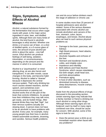### **Signs, Symptoms, and Effects of Alcohol Misuse**

Alcohol, a natural substance formed by the fermentation that occurs when sugar reacts with yeast, is the major active ingredient in wine, beer, and distilled spirits. Although there are many kinds of alcohol, the kind found in alcoholic beverages is ethyl alcohol. Whether one drinks a 12-ounce can of beer, or a shot of distilled spirits, or a 5-ounce glass of wine, the amount of pure alcohol per drink is about the same – one-half ounce. Ethyl alcohol can produce feelings of well being, sedation, intoxication, or unconsciousness, depending on the amount and the manner in which it is consumed.

Alcohol is a "psychoactive" or mindaltering drug, as are also heroin and tranquilizers. It can alter moods, cause changes in the body, and become habit forming. Alcohol is called a "downer" because it depresses the central nervous system. That's why drinking too much causes slowed reactions, slurred speech, and sometimes even unconsciousness or passing out. Alcohol works first on the part of the brain that controls inhibitions. As people lose their inhibitions they may talk more, get rowdy, and do foolish things. After several drinks they may feel "high", but their nervous systems actually are slowing down. A person does not have to be an alcoholic to have problems with alcohol. Every year, for example, many young people lose their lives in alcoholrelated automobile accidents, drowning, and suicides. Serious health problems

can and do occur before drinkers reach the stage of addiction or chronic use.

In some studies more than 25 percent of hospital admissions were alcohol related. Some of the serious diseases associated with chronic alcohol use include alcoholism and cancers of the liver, stomach, colon, larynx, esophagus, and breast. Alcohol abuse also can lead to such serious physical problems as:

- ▶ Damage to the brain, pancreas, and kidneys
- High blood pressure, heart attacks, and strokes
- ▶ Alcoholic hepatitis and cirrhosis of the liver
- Stomach and duodenal ulcers, colitis, and irritable colon
- Impotence and infertility
- Birth defects and Fetal Alcohol Syndrome, which causes retardation, low birth weight, small head size, and limb abnormalities
- $\blacktriangleright$  Premature aging
- $\triangleright$  A host of other disorders, such as diminished immunity to disease, sleep disturbances, muscle cramps, and edema

Aside from the physical effects of drugs discussed in the preceding section, certain warning signs may indicate that a family member or friend is drinking too much alcohol or using other drugs. Although these warning signs are not foolproof, each by itself or many signs combined over time, should be cause for concern. With alcohol, some of the signs to look for are:

 Does the person pour a drink as an immediate reaction when faced with any problems?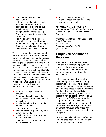- $\triangleright$  Does the person drink until intoxicated?
- $\blacktriangleright$  Is there a record of missed work because of drinking or an illdisguised odor of alcohol on the breath during work hours even though attendance may be regular?
- $\triangleright$  Does the person drive a car while intoxicated?
- $\blacktriangleright$  Has his or her home life become intolerable because of drinking or arguments resulting from drinking?
- $\triangleright$  Does he or she handle all social celebrations and stress with alcohol?

These are some of the signs of an adult problem drinker. It is important to note, however, that use of alcohol by youth is abuse and cause for concern. When these signs are present, it means that a person's drinking pattern is heading out of control, if not out of control already. A person does not have to be an alcoholic to have problems with alcohol. Certain additional behavioral characteristics also seem to be signs of the use of alcohol and other drugs. The clues can be found in all people who abuse these substances, regardless of age. Examples of these clues include:

- ▶ An abrupt change in mood or attitudes
- $\triangleright$  Sudden and continuing decline in attendance or performance at work or in school
- $\blacktriangleright$  Impaired relationships with family members or friends
- **DED** Unusual temper flare-ups
- Increased borrowing of money from parents or friends
- $\triangleright$  Stealing from the house, at school, or in the workplace
- $\blacktriangleright$  Heightened secrecy about actions and possessions

 $\triangleright$  Associating with a new group of friends, especially with those who use drugs or alcohol

*Information from this section is a summary from National Clearinghouse's "What You Can Do About Drug Use" booklet.*

*National Clearinghouse for Alcohol and Drug Information PO Box 2345 Rockville, Maryland 20852 (301) 468-2600*

### **Employee Assistance Program**

ABX has an Employee Assistance Program available for employees to confidentially receive information regarding benefits and rehabilitation programs regarding treatment for alcohol use.

ABX encourages employees who believe they have an alcohol or drug problem to seek help. The medical insurance program provides for payment of certain expenses related to treatment for alcoholism and drug addiction. Information concerning the insurance program may be obtained from Human Resources. ABX' Employee Assistance Program will provide confidential assessment with referral to appropriate treatment services. Regardless of any treatment, however, employees who violate company policy will be subject to discipline.

Furthermore, all employees performing in a "covered position" will be provided training and materials regarding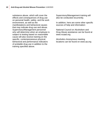substance abuse, which will cover the effects and consequences of drug use on personal health, safety, and the work environment, as well as the manifestations and behavioral causes that may indicate drug use and abuse. Supervisory/Management personnel who will determine when an employee is subject to testing based on reasonable cause will also receive training on the specific, contemporaneous physical, behavioral and performance indicators of probable drug use in addition to the training specified above.

Supervisory/Management training will also be conducted recurrently.

In addition, here are some other specific sources of help and information:

National Council on Alcoholism and Drug Abuse assistance can be found at www.ncaad.org

Alcoholics Anonymous meeting locations can be found on www.aa.org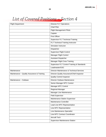## List of Covered Positions - Section 4

| <b>Flight Department</b>                   | <b>Director FLT Operations</b>                         |
|--------------------------------------------|--------------------------------------------------------|
|                                            | <b>Chief Pilot</b>                                     |
|                                            | <b>Flight Management Pilots</b>                        |
|                                            | Captain                                                |
|                                            | <b>First Officer</b>                                   |
|                                            | <b>Supervisor FLT Technical Training</b>               |
|                                            | FLT Technical Training Instructor                      |
|                                            | Simulator Instructor                                   |
|                                            | Dispatcher                                             |
|                                            | <b>Supervisor Flight Control</b>                       |
|                                            | Manager Flight Control                                 |
|                                            | Assistant Dispatcher                                   |
|                                            | Manager Flight Crew Training                           |
|                                            | <b>Supervisor FLT Control Training &amp; Standards</b> |
|                                            | Loadmaster/GSC                                         |
| Maintenance                                | Director Maintenance & Technical Services              |
|                                            |                                                        |
| Maintenance - Quality Assurance & Training | Director Quality Assurance/Chief Inspector             |
|                                            | <b>Quality Control Inspector</b>                       |
| Maintenance - Outbase                      | Director Outbase Maintenance                           |
|                                            | Senior Manager MTC Control                             |
|                                            | Manager MTC Control                                    |
|                                            | Regional Manager                                       |
|                                            | Manager Line Maintenance                               |
|                                            | <b>Field Supervisor</b>                                |
|                                            | Maintenance Station Supervisor                         |
|                                            | Maintenance Controller                                 |
|                                            | Lead Line MTC Representative                           |
|                                            | Line MTC Representative                                |
|                                            | Line Maintenance Specialist                            |
|                                            | <b>Line MTC Contract Coordinator</b>                   |
|                                            | <b>Aircraft Tech</b>                                   |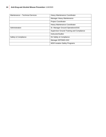| Maintenance - Technical Services | Heavy Maintenance Coordinator                    |
|----------------------------------|--------------------------------------------------|
|                                  | Manager Heavy Maintenance                        |
|                                  | <b>Project Coordinator</b>                       |
|                                  | Heavy Maintenance Coordinator                    |
| Administration                   | Sr. Manager Ground Operations/GSC                |
|                                  | <b>Supervisor Ground Training and Compliance</b> |
|                                  | Instructor/Auditor                               |
| Safety & Compliance              | Dir Safety & Compliance                          |
|                                  | Manager IEP/SMS-GSC                              |
|                                  | <b>MGR Aviation Safety Programs</b>              |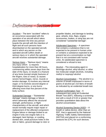

Accident – The term "accident" refers to an occurrence associated with the operation of an aircraft which takes place between the time any person boards the aircraft with the intention of flight and all such persons have disembarked on the operated aircraft, and in which any person on the operated aircraft suffers death or serious injury or in which the operated aircraft receives substantial damage.

Serious Injury – "Serious injury" means any injury which: 1) requires hospitalization for more than 48 hours, commencing within seven days from the date of the injury; 2) results in a fracture of any bone (except simple fractures of the fingers, toes or nose); 3) causes severe hemorrhages, nerve, muscle or tendon damage; 4) involves any internal organ; or 5) involves second-degree or third-degree burns, or any burns affecting more than five percent of the body surface.

Substantial Damage – "Substantial damage" means damage or failure which adversely affects the structural strength, performance, or flight characteristics of the aircraft, and which would normally require major repair or replacement of the affected component. Engine failure or damage limited to an engine if only one engine fails or is damaged, bent fairings, or cowling, dented skin, small puncture holes in the skin or fabric, ground damage to rotor or propeller blades, and damage to landing gear, wheels, tires, flaps, engine accessories, brakes, or wing tips are not considered "substantial damage".

Adulterated Specimen – A specimen that contains a substance that is not expected to be present in human urine or contains a substance expected to be present but at a concentration so high that it is not consistent with human urine. An adulterated specimen is considered a refusal to test.

Alcohol – The intoxicating agent in beverage alcohol, ethyl alcohol, or other low molecular weight alcohols, including methyl or isopropyl alcohol.

Alcohol Concentration – The alcohol in a volume of breath expressed in terms of grams of alcohol per 210 liters of breath as indicated by an evidential breath test.

Alcohol Confirmation Test – A subsequent test using an Evidential Breath Test (EBT), following a screening test with a result of 0.02 or greater that provides quantitative data about the alcohol concentration.

Alcohol Screening Device (ASD) – A breath or saliva device, other than an EBT, that is approved by the National Highway Traffic Safety Administration (NHTSA) and placed on a conforming products list (CPL) for such devices.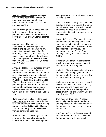Alcohol Screening Test – An analytic procedure to determine whether an employee may have a prohibited concentration of alcohol in a breath or saliva specimen.

Alcohol Testing Site – A place selected by the employer where employees present themselves for the purpose of providing breath or saliva for an alcohol test.

Alcohol Use – The drinking or swallowing of any beverage, liquid mixture or preparation (including any medication), containing alcohol; for example, included by not limited to, the use of Nyquil, mouthwash if swallowed, the consumption of non-alcoholic beer that contains ½ % alcohol (i.e., Sharps and O'Doul's)

Annualized Rate – For purposes of ABX' random testing program, the term "annualized rate" means the percentage of specimen collection and testing of employees performing a function listed in Section 4 during each calendar year. FAA will determine the annualized percentage rate by referring to the total number of employees performing a sensitive safety or security related function at the beginning of the calendar year.

Blind Specimen or Blind Performance Test Specimen - A specimen submitted to a laboratory for quality control testing purposes, with a fictitious identifier, so that the laboratory cannot distinguish if from an employee specimen.

Breath Alcohol Technician (BAT) – An individual who instructs and assists individuals in the alcohol testing process and operates an EBT (Evidential Breath Testing Device).

Cancelled Test – A drug or alcohol test that has a problem identified that cannot be or has not been corrected, or which otherwise requires to be cancelled. A cancelled test is neither a positive nor a negative test.

Chain of Custody – The procedure used to document the handling of the urine specimen from the time the employee gives the specimen to the collector until the specimen is destroyed. This procedure uses the Federal Drug Testing Custody and Control Form (CCF).

Collection Container – A container into which the employee urinates to provide the specimen for a drug test.

Collection  $\text{Site} - A$  place selected by the employer where employees present themselves for the purpose of providing a urine specimen for a drug test.

Collector – A person who instructs and assists employees at a collection site, who receives and makes an initial inspection of the specimen provided by those employees, and who initiates and completes the CCF.

Confirmation Drug Test – A second analytical procedure performed on a urine specimen to identify and quantify the presence of s specific drug or drug metabolite.

Confirmation Validity Test – A second test performed on a urine specimen to further support a valid test result.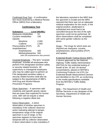Confirmed Drug Test – A confirmation test result received by a Medical Review Officer (MRO) from a laboratory.

#### **Confirmatory Test**

| <b>Substance</b>           | Level (NG/ML)                        |
|----------------------------|--------------------------------------|
| Marijuana metabolites      | 15                                   |
| <b>Cocaine metabolites</b> | 150                                  |
| Opioids                    |                                      |
| Morphine                   | 2,000                                |
| Codeine                    | 2,000                                |
| Phencyclidine (PCP)        | 25                                   |
| Amphetamines               |                                      |
| Amphetamine                | 500                                  |
| Methamphetamine 500        |                                      |
|                            | (with 200 amphetamines also present) |

Covered Employee – The term "covered employee" includes all employees who perform FAA designated sensitive safety or security related functions. All supervisory or managerial employees who may be called upon to perform an FAA designated sensitive safety or security related function shall also be subject to the requirements of ABX's Anti-Drug and Alcohol Misuse Prevention Programs.

Dilute Specimen – A specimen with creatinine and specific gravity values that are lower than expected for human urine. ABX will not require a retest following a negative dilute test.

#### Direct Observation – A direct

observation of another specimen is mandatory if the collector observes action indicating attempt to tamper, temperature range of the original specimen is out of range, or the specimen appears to have been tampered with by collector observation. A direct observation is also mandatory if the laboratory reported to the MRO that the specimen is invalid and the MRO reported that there was not an adequate medical explanation for the result, or the original positive, adulterated or substituted test result had to be cancelled because the test of the split specimen could not be performed. All direct observations shall be completed with same gender collector as the donor.

Drugs – The drugs for which tests are required are marijuana, cocaine, amphetamines, phencyclidine (PCP) and opiates.

Evidential Breath Testing Device (EBT) - A device approved by the National Highway Traffic Safety Administration (NHTSA) for the evidential testing of breath at the .02 and .04 alcohol concentrations, placed on NHTSA's Conforming Products List (CPL) for Evidential Breath Measurement Devices and identified on the CPL as conforming to the model specifications available from the NHTSA's Traffic Safety Program.

HHS – The Department of Health and Human Services or any designee of the Secretary, Department of Health and Human Services.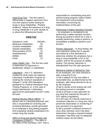Initial Drug Test – The test used to differentiate a negative specimen from one that requires further testing for drugs or drug metabolites. "Positive evidence" means the presence of a drug or drug metabolite in a urine sample at or above the following test levels:

#### **Initial Test**

| <b>Substance Level</b> | (NG/ML) |
|------------------------|---------|
| Marijuana metabolites  | 50      |
| Cocaine metabolites    | 150     |
| Opioids metabolites    | 2,000   |
| Phencyclidine (PCP)    | 25      |
| Amphetamines           | 500     |
| <b>MDMA</b>            | 500     |
| 6-AM                   | 10      |
|                        |         |

Initial Validity Test – The first test used to determine if a specimen is adulterated, diluted, or substituted.

Laboratory – Any U.S. laboratory certified by HHS under the National Laboratory Certification Program as meeting the minimum standards of Subpart C of the HHS Mandatory guidelines for Federal Workplace Drug Testing Programs; or, in the case of foreign laboratories, a laboratory approved for participation by DOT under this part.

Medical Review Officer (MRO) – A person who is a licensed physician and who is responsible for receiving and reviewing laboratory results generated by an employer's drug testing program and evaluating medical explanations for certain drug test results.

Office of Drug and Alcohol Policy and Compliance (ODAPC) – The office in the Office of the Secretary, DOT, that is responsible for coordinating drug and alcohol testing program matters within the Department and providing information concerning the implementation of this part.

#### Performing A Safety-Sensitive Function

– An employee is considered to be performing a safety-sensitive function during any period in which he or she is actually performing, ready to perform, or immediately available to perform such function.

Primary Specimen – In drug testing, the urine specimen bottle that is opened and tested by a first laboratory to determine whether the employee has a drug or drug metabolite in his or her system; and for the purpose of validity testing. The primary specimen is distinguished from the split specimen.

Refusal to Submit or Refusal to Test – As an employee, you have refused to take a drug test if you:

1) fail to appear for any test within a reasonable time, as determined by the employer, after being directed to do so by the employer,

2) fail to remain at the testing site until the testing process is complete,

3) fail to provide a urine specimen for any drug test required by this part or DOT agency regulations,

4) in the case of a directly observed or monitored collection in a drug test, fail to permit the observation or monitoring of your provision of a specimen,

5) fail to provide a sufficient amount of urine when directed, and it has been determined, through a required medical evaluation, that there was no adequate medical reason for the failure,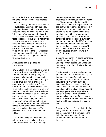6) fail or decline to take a second test the employer or collector has directed you to take,

7) fail to undergo a medical examination or evaluation, as directed by the MRO as part of the verification process, or as directed by the employer as part of the "shy bladder" procedures of this part, 8) fail to cooperate with any part of the testing process (including but not limited to refuse to empty pockets when so directed by the collector, behave in a confrontational way that disrupts the collection process, and 9) as an employee, if the MRO reports that you have a verified adulterated or substituted test result, you have refused to take a drug test.

A refusal to test is grounds for termination.

Shy Bladder – If the employee is unable to void or does not provide a sufficient amount of urine for a drug test, the collector will require the employee to drink up to 40 ounces of fluids during a period of up to 3 hours or until the employee has provided a sufficient specimen. If the employee is still unable to void after the three hour time limit, or has not provided a sufficient specimen, the testing process will be discontinued and the employee will be required to obtain, within five days, a medical evaluation from a licensed physician who has expertise in the medical issues raised by the employee's failure to provide a sufficient specimen. The physician must be acceptable to the MRO.

If, after conducting the evaluation, the referral physician concludes that a medical condition has, or with a high

degree of probability could have, precluded the employee from providing a sufficient amount of urine, and the MRO accepts such an explanation, then the test will be reported as cancelled. If the referral physician concludes that there was no medical condition that precluded, or with a high degree of probability could have precluded, an employee from producing a sufficient amount of urine, and the MRO accepts this recommendation, then the test will be reported as a refusal to test. ABX shall notify the FAA of a refusal to test by any covered employee who is a certificate holder.

Shipping Container – A container that is used for transporting and protecting urine specimen bottles and associated documents from the collection site to the laboratory.

Shy Lung – If an employee is unable to provide adequate breath for testing due to medical reasons (i.e. asthma, bronchitis), he/she will be required to provide to ABX within 5 days an evaluation from a licensed physician who is acceptable to ABX and who has expertise in the medical issues raised by the employee's failure to provide a sufficient sample. If the physician is unable to find cause or if the employee fails to provide ABX with documentation, he/she will be considered a refusal to test.

Specimen Bottle – The bottle that, after being sealed and labeled according to the procedures in this part, is used to hold the urine specimen during transportation to the laboratory for testing.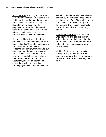Split Specimen – In drug testing, a part of the urine specimen that is sent to the first laboratory and retained unopened, and which is transported to a second laboratory in the event that the employee requests that it be tested following a verified positive test of the primary specimen or a verified adulterated or substituted test result.

Substance Abuse Professional – A person who evaluates employees who have violated ABX' alcohol testing policy and makes recommendations concerning education, treatment, followup testing and aftercare. A substance abuse professional is required to be either a licensed physician, limited to medical doctors and doctors of Osteopathy; as well as licensed or certified physiologists, social workers, and employee assistance professionals,

and alcohol and drug abuse counselors certified by the National Association of Alcoholism and Drug Abuse Counselors Certification Commission or by the International Certification Reciprocity Consortium/Alcohol and other drug abuse.

Substituted Specimen – A specimen with creatinine and specific gravity values that are so diminished that they are not consistent with human urine. A substituted specimen is considered a refusal to test.

Verified Test – A drug test result or validity testing result from an HHScertified laboratory that has undergone review and final determination by the MRO.